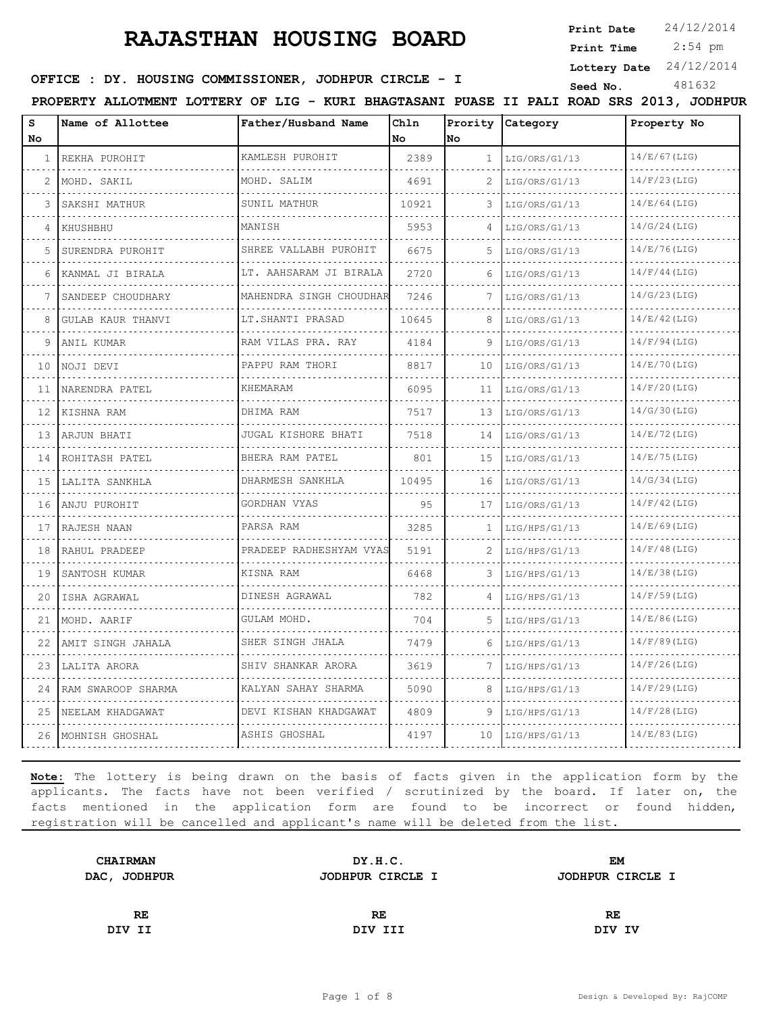**Print Date**  $24/12/2014$ 

 2:54 pm **Print Time**

**Lottery Date** 24/12/2014

**SEED : DY. HOUSING COMMISSIONER, JODHPUR CIRCLE - I** Seed No. 481632

**PROPERTY ALLOTMENT LOTTERY OF LIG - KURI BHAGTASANI PUASE II PALI ROAD SRS 2013, JODHPUR**

| S<br>No.     | Name of Allottee       | Father/Husband Name        | Chln<br>l No | Prority<br>No. | <b>Category</b>    | Property No     |
|--------------|------------------------|----------------------------|--------------|----------------|--------------------|-----------------|
| $\mathbf{1}$ | REKHA PUROHIT<br>.     | KAMLESH PUROHIT<br>.       | 2389         | 1              | LIG/ORS/G1/13<br>. | 14/E/67(LIG)    |
| 2            | MOHD. SAKIL            | MOHD. SALIM<br>.           | 4691         | 2              | LIG/ORS/G1/13<br>. | 14/F/23(LIG)    |
| 3            | SAKSHI MATHUR          | SUNIL MATHUR               | 10921        | 3              | LIG/ORS/G1/13      | 14/E/64(LIG)    |
| 4            | KHUSHBHU               | MANISH                     | 5953         | $\Delta$       | LIG/ORS/G1/13      | 14/G/24(LIG)    |
| 5.           | SURENDRA PUROHIT       | SHREE VALLABH PUROHIT      | 6675         | 5.             | LIG/ORS/G1/13      | 14/E/76(LIG)    |
| 6            | KANMAL JI BIRALA       | LT. AAHSARAM JI BIRALA     | 2720         | 6              | LIG/ORS/G1/13      | $14/F/44$ (LIG) |
|              | SANDEEP CHOUDHARY      | MAHENDRA SINGH CHOUDHAR    | 7246         |                | LIG/ORS/G1/13      | 14/G/23(LIG)    |
| 8            | GULAB KAUR THANVI<br>. | LT.SHANTI PRASAD<br>.      | 10645        | 8              | LIG/ORS/G1/13      | 14/E/42(LIG)    |
| 9            | ANIL KUMAR             | RAM VILAS PRA. RAY         | 4184         | 9              | LIG/ORS/G1/13      | $14/F/94$ (LIG) |
| 10           | NOJI DEVI              | PAPPU RAM THORI            | 8817         | 10             | LIG/ORS/G1/13      | 14/E/70(LIG)    |
| 11           | NARENDRA PATEL<br>.    | KHEMARAM                   | 6095         | 11             | LIG/ORS/G1/13      | $14/F/20$ (LIG) |
| 12           | KISHNA RAM             | DHIMA RAM                  | 7517         | 13             | LIG/ORS/G1/13      | 14/G/30(LIG)    |
| 13           | ARJUN BHATI            | JUGAL KISHORE BHATI<br>.   | 7518         | 14             | LIG/ORS/G1/13      | 14/E/72(LIG)    |
| 14           | ROHITASH PATEL         | BHERA RAM PATEL<br>.       | 801          | 15             | LIG/ORS/G1/13      | 14/E/75(LIG)    |
| 15           | LALITA SANKHLA         | DHARMESH SANKHLA           | 10495        | 16             | LIG/ORS/G1/13      | 14/G/34(LIG)    |
| 16           | ANJU PUROHIT           | GORDHAN VYAS               | 95           | 17             | LIG/ORS/G1/13      | $14/F/42$ (LIG) |
| 17           | RAJESH NAAN            | PARSA RAM                  | 3285         | 1              | LIG/HPS/G1/13<br>. | $14/E/69$ (LIG) |
| 18           | RAHUL PRADEEP          | PRADEEP RADHESHYAM VYAS    | 5191         | 2              | LIG/HPS/G1/13      | $14/F/48$ (LIG) |
| 19           | SANTOSH KUMAR          | KISNA RAM                  | 6468         | 3              | LIG/HPS/G1/13      | 14/E/38(LIG)    |
| 20           | ISHA AGRAWAL<br>.      | DINESH AGRAWAL<br><u>.</u> | 782          | 4              | LIG/HPS/G1/13<br>. | $14/F/59$ (LIG) |
| 21           | MOHD. AARIF            | GULAM MOHD.                | 704          | 5              | LIG/HPS/G1/13      | 14/E/86(LIG)    |
| 22           | AMIT SINGH JAHALA      | SHER SINGH JHALA           | 7479         | 6              | LIG/HPS/G1/13      | $14/F/89$ (LIG) |
| 23           | LALITA ARORA           | SHIV SHANKAR ARORA         | 3619         | 7              | LIG/HPS/G1/13      | $14/F/26$ (LIG) |
| 24           | RAM SWAROOP SHARMA     | KALYAN SAHAY SHARMA        | 5090         | 8              | LIG/HPS/G1/13      | $14/F/29$ (LIG) |
| 25           | NEELAM KHADGAWAT       | DEVI KISHAN KHADGAWAT      | 4809         | 9              | LIG/HPS/G1/13      | $14/F/28$ (LIG) |
|              | 26 MOHNISH GHOSHAL     | ASHIS GHOSHAL              | 4197         | 10             | LIG/HPS/G1/13      | 14/E/83(LIG)    |

| <b>CHAIRMAN</b> | DY.H.C.          | EM               |  |
|-----------------|------------------|------------------|--|
| DAC, JODHPUR    | JODHPUR CIRCLE I | JODHPUR CIRCLE I |  |
|                 |                  |                  |  |
| RE.             | RE               | RE               |  |
| DIV II          | DIV III          | DIV IV           |  |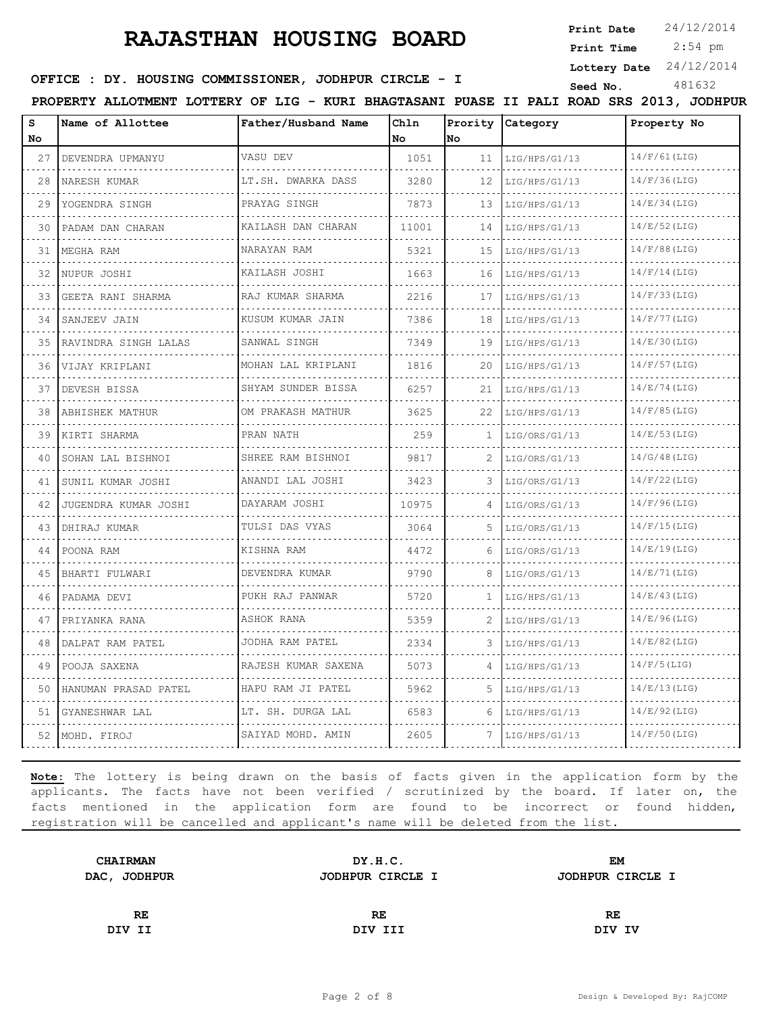**Print Date**  $24/12/2014$ 

 2:54 pm **Print Time**

**Lottery Date** 24/12/2014

**SEED : DY. HOUSING COMMISSIONER, JODHPUR CIRCLE - I** Seed No. 481632

**PROPERTY ALLOTMENT LOTTERY OF LIG - KURI BHAGTASANI PUASE II PALI ROAD SRS 2013, JODHPUR**

| S<br>No. | Name of Allottee       | Father/Husband Name           | Chln<br>No | Prority<br>No | Category           | Property No     |
|----------|------------------------|-------------------------------|------------|---------------|--------------------|-----------------|
| 27       | DEVENDRA UPMANYU       | VASU DEV                      | 1051       | 11            | LIG/HPS/G1/13<br>. | $14/F/61$ (LIG) |
| .<br>28  | NARESH KUMAR           | LT.SH. DWARKA DASS<br>.       | 3280       | 12            | LIG/HPS/G1/13      | 14/F/36(LIG)    |
| 29       | YOGENDRA SINGH         | PRAYAG SINGH                  | 7873       | 13            | .<br>LIG/HPS/G1/13 | 14/E/34(LIG)    |
| 30       | PADAM DAN CHARAN       | KAILASH DAN CHARAN<br>.       | 11001      | 14            | LIG/HPS/G1/13      | 14/E/52(LIG)    |
| 31       | MEGHA RAM              | NARAYAN RAM                   | 5321       | 15            | LIG/HPS/G1/13<br>. | $14/F/88$ (LIG) |
| 32       | NUPUR JOSHI            | .<br>KAILASH JOSHI            | 1663       | 16            | LIG/HPS/G1/13      | $14/F/14$ (LIG) |
| 33       | GEETA RANI SHARMA      | RAJ KUMAR SHARMA              | 2216       | 17            | LIG/HPS/G1/13      | 14/F/33(LIG)    |
| 34       | SANJEEV JAIN<br>.      | KUSUM KUMAR JAIN<br>.         | 7386       | 18            | LIG/HPS/G1/13<br>. | $14/F/77$ (LIG) |
| 35       | RAVINDRA SINGH LALAS   | SANWAL SINGH                  | 7349       | 19            | LIG/HPS/G1/13      | 14/E/30(LIG)    |
| 36       | VIJAY KRIPLANI         | MOHAN LAL KRIPLANI<br>.       | 1816       | 20            | LIG/HPS/G1/13      | $14/F/57$ (LIG) |
| 37       | DEVESH BISSA           | SHYAM SUNDER BISSA<br>.       | 6257       | 21            | LIG/HPS/G1/13      | 14/E/74(LIG)    |
| 38       | ABHISHEK MATHUR        | OM PRAKASH MATHUR             | 3625       | 22            | LIG/HPS/G1/13      | $14/F/85$ (LIG) |
| 39       | KIRTI SHARMA           | PRAN NATH                     | 259        | 1.            | LIG/ORS/G1/13      | 14/E/53(LIG)    |
| 40       | SOHAN LAL BISHNOI<br>. | SHREE RAM BISHNOI<br><u>.</u> | 9817       | 2             | LIG/ORS/G1/13      | 14/G/48(LIG)    |
| 41       | SUNIL KUMAR JOSHI      | ANANDI LAL JOSHI              | 3423       | 3             | LIG/ORS/G1/13      | $14/F/22$ (LIG) |
| 42       | JUGENDRA KUMAR JOSHI   | DAYARAM JOSHI<br>.            | 10975      | $\Delta$      | LIG/ORS/G1/13      | $14/F/96$ (LIG) |
| 43       | DHIRAJ KUMAR           | TULSI DAS VYAS                | 3064       | 5             | LIG/ORS/G1/13      | 14/F/15(LIG)    |
| 44       | POONA RAM              | KISHNA RAM                    | 4472       | 6             | LIG/ORS/G1/13      | 14/E/19(LIG)    |
| 45       | BHARTI FULWARI         | DEVENDRA KUMAR<br>.           | 9790       | 8             | LIG/ORS/G1/13      | 14/E/71(LIG)    |
| 46       | PADAMA DEVI            | PUKH RAJ PANWAR               | 5720       | 1             | LIG/HPS/G1/13      | 14/E/43(LIG)    |
| 47       | PRIYANKA RANA          | ASHOK RANA                    | 5359       | 2             | LIG/HPS/G1/13      | 14/E/96(LIG)    |
| 48       | DALPAT RAM PATEL       | JODHA RAM PATEL               | 2334       | 3             | LIG/HPS/G1/13      | $14/E/82$ (LIG) |
| 49       | POOJA SAXENA           | RAJESH KUMAR SAXENA           | 5073       | 4             | LIG/HPS/G1/13      | $14/F/5$ (LIG)  |
| 50       | HANUMAN PRASAD PATEL   | HAPU RAM JI PATEL             | 5962       | 5.            | LIG/HPS/G1/13      | 14/E/13(LIG)    |
| 51       | GYANESHWAR LAL         | LT. SH. DURGA LAL<br>.        | 6583       | 6             | LIG/HPS/G1/13      | 14/E/92(LIG)    |
| 52       | MOHD. FIROJ            | SAIYAD MOHD. AMIN             | 2605       | 7             | LIG/HPS/G1/13      | $14/F/50$ (LIG) |

| <b>CHAIRMAN</b> | DY.H.C.          | <b>EM</b>        |  |
|-----------------|------------------|------------------|--|
| DAC, JODHPUR    | JODHPUR CIRCLE I | JODHPUR CIRCLE I |  |
|                 |                  |                  |  |
| RE.             | RE               | RE               |  |
| DIV II          | DIV III          | DIV IV           |  |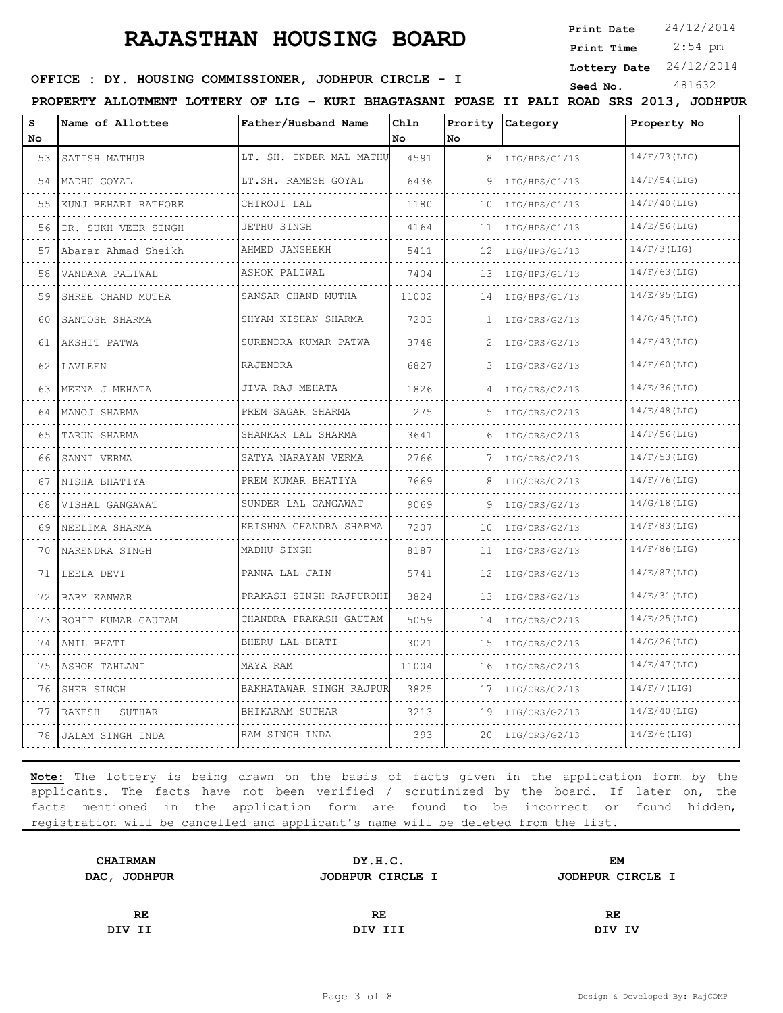**Print Date**  $24/12/2014$ 

 2:54 pm **Print Time**

**Lottery Date** 24/12/2014

#### **SEED : DY. HOUSING COMMISSIONER, JODHPUR CIRCLE - I** Seed No. 481632

**PROPERTY ALLOTMENT LOTTERY OF LIG - KURI BHAGTASANI PUASE II PALI ROAD SRS 2013, JODHPUR**

| S<br>No | Name of Allottee     | Father/Husband Name     | Chln<br>No | <b>No</b> | Prority Category | Property No     |
|---------|----------------------|-------------------------|------------|-----------|------------------|-----------------|
| 53      | SATISH MATHUR        | LT. SH. INDER MAL MATHU | 4591       | 8         | LIG/HPS/G1/13    | 14/F/73(LIG)    |
| 54      | MADHU GOYAL          | LT.SH. RAMESH GOYAL     | 6436       | 9         | LIG/HPS/G1/13    | $14/F/54$ (LIG) |
| 55      | KUNJ BEHARI RATHORE  | CHIROJI LAL             | 1180       | 10        | LIG/HPS/G1/13    | $14/F/40$ (LIG) |
| 56      | DR. SUKH VEER SINGH  | JETHU SINGH             | 4164       | 11        | LIG/HPS/G1/13    | 14/E/56(LIG)    |
| 57      | Abarar Ahmad Sheikh  | AHMED JANSHEKH          | 5411       | 12        | LIG/HPS/G1/13    | $14/F/3$ (LIG)  |
| 58      | .<br>VANDANA PALIWAL | .<br>ASHOK PALIWAL      | 7404       | 13        | LIG/HPS/G1/13    | $14/F/63$ (LIG) |
| 59      | SHREE CHAND MUTHA    | .<br>SANSAR CHAND MUTHA | 11002      | 14        | LIG/HPS/G1/13    | 14/E/95(LIG)    |
| 60      | SANTOSH SHARMA       | SHYAM KISHAN SHARMA     | 7203       | 1         | LIG/ORS/G2/13    | 14/G/45(LIG)    |
| 61      | AKSHIT PATWA         | SURENDRA KUMAR PATWA    | 3748       | 2         | LIG/ORS/G2/13    | 14/F/43(LIG)    |
| 62      | LAVLEEN              | RAJENDRA                | 6827       |           | LIG/ORS/G2/13    | $14/F/60$ (LIG) |
| 63      | MEENA J MEHATA       | JIVA RAJ MEHATA         | 1826       | 4         | LIG/ORS/G2/13    | 14/E/36(LIG)    |
| 64      | MANOJ SHARMA         | PREM SAGAR SHARMA       | 275        | .5        | LIG/ORS/G2/13    | 14/E/48(LIG)    |
| 65      | TARUN SHARMA         | .<br>SHANKAR LAL SHARMA | 3641       |           | LIG/ORS/G2/13    | $14/F/56$ (LIG) |
| 66      | SANNI VERMA          | SATYA NARAYAN VERMA     | 2766       |           | LIG/ORS/G2/13    | $14/F/53$ (LIG) |
| 67      | NISHA BHATIYA        | PREM KUMAR BHATIYA      | 7669       | 8         | LIG/ORS/G2/13    | 14/F/76(LIG)    |
| 68      | VISHAL GANGAWAT      | SUNDER LAL GANGAWAT     | 9069       | 9         | LIG/ORS/G2/13    | 14/G/18(LIG)    |
| 69      | NEELIMA SHARMA       | KRISHNA CHANDRA SHARMA  | 7207       | 10        | LIG/ORS/G2/13    | $14/F/83$ (LIG) |
| 70      | NARENDRA SINGH       | MADHU SINGH             | 8187       | 11        | LIG/ORS/G2/13    | $14/F/86$ (LIG) |
| 71      | LEELA DEVI           | PANNA LAL JAIN<br>.     | 5741       | 12        | LIG/ORS/G2/13    | 14/E/87(LIG)    |
| 72      | BABY KANWAR          | PRAKASH SINGH RAJPUROHI | 3824       | 13        | LIG/ORS/G2/13    | 14/E/31(LIG)    |
| 73      | ROHIT KUMAR GAUTAM   | CHANDRA PRAKASH GAUTAM  | 5059       | 14        | LIG/ORS/G2/13    | 14/E/25(LIG)    |
| 74      | ANIL BHATI           | BHERU LAL BHATI         | 3021       | 15        | LIG/ORS/G2/13    | 14/G/26(LIG)    |
| 75      | ASHOK TAHLANI        | MAYA RAM                | 11004      | 16        | LIG/ORS/G2/13    | 14/E/47(LIG)    |
| 76      | SHER SINGH           | BAKHATAWAR SINGH RAJPUR | 3825       | 17        | LIG/ORS/G2/13    | $14/F/7$ (LIG)  |
| 77      | RAKESH<br>SUTHAR     | BHIKARAM SUTHAR         | 3213       | 19        | LIG/ORS/G2/13    | 14/E/40(LIG)    |
| 78 I    | JALAM SINGH INDA     | RAM SINGH INDA          | 393        | 20        | LIG/ORS/G2/13    | 14/E/6(LIG)     |

| <b>CHAIRMAN</b> | DY.H.C.          | <b>EM</b>        |  |
|-----------------|------------------|------------------|--|
| DAC, JODHPUR    | JODHPUR CIRCLE I | JODHPUR CIRCLE I |  |
|                 |                  |                  |  |
| RE              | RE               | RE               |  |
| DIV II          | DIV III          | DIV IV           |  |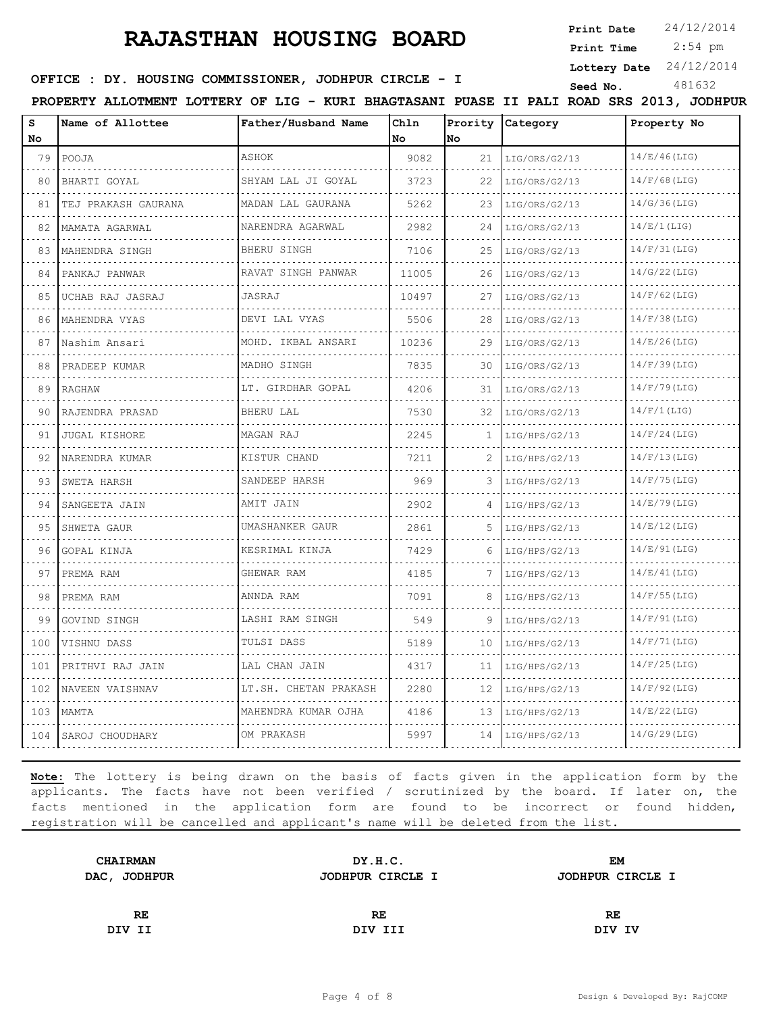**Print Date**  $24/12/2014$ 

 2:54 pm **Print Time**

**Lottery Date** 24/12/2014

**SEED : DY. HOUSING COMMISSIONER, JODHPUR CIRCLE - I** Seed No. 481632

**PROPERTY ALLOTMENT LOTTERY OF LIG - KURI BHAGTASANI PUASE II PALI ROAD SRS 2013, JODHPUR**

| s<br>No | Name of Allottee     | Father/Husband Name   | Chln<br>No | Prority<br>No. | Category           | Property No     |
|---------|----------------------|-----------------------|------------|----------------|--------------------|-----------------|
| 79      | POOJA                | ASHOK                 | 9082       | 21             | LIG/ORS/G2/13      | 14/E/46(LIG)    |
| 80      | BHARTI GOYAL         | SHYAM LAL JI GOYAL    | 3723       | 22             | .<br>LIG/ORS/G2/13 | $14/F/68$ (LIG) |
| 81      | TEJ PRAKASH GAURANA  | MADAN LAL GAURANA     | 5262       | 23             | LIG/ORS/G2/13      | 14/G/36(LIG)    |
| 82      | MAMATA AGARWAL       | NARENDRA AGARWAL      | 2982       | 24             | LIG/ORS/G2/13      | 14/E/1(LIG)     |
| 83      | .<br>MAHENDRA SINGH  | .<br>BHERU SINGH      | 7106       | 25             | LIG/ORS/G2/13      | 14/F/31(LIG)    |
| 84      | PANKAJ PANWAR        | RAVAT SINGH PANWAR    | 11005      | 26             | LIG/ORS/G2/13      | 14/G/22(LIG)    |
| 85      | UCHAB RAJ JASRAJ     | JASRAJ                | 10497      | 27             | LIG/ORS/G2/13      | $14/F/62$ (LIG) |
| 86      | MAHENDRA VYAS        | DEVI LAL VYAS         | 5506       | 28             | LIG/ORS/G2/13      | $14/F/38$ (LIG) |
| 87      | Nashim Ansari        | MOHD. IKBAL ANSARI    | 10236      | 29             | LIG/ORS/G2/13      | 14/E/26(LIG)    |
| 88      | PRADEEP KUMAR        | MADHO SINGH           | 7835       | 30             | LIG/ORS/G2/13      | $14/F/39$ (LIG) |
| 89      | RAGHAW               | LT. GIRDHAR GOPAL     | 4206       | 31             | LIG/ORS/G2/13      | $14/F/79$ (LIG) |
| 90      | RAJENDRA PRASAD      | BHERU LAL             | 7530       | 32             | LIG/ORS/G2/13      | $14/F/1$ (LIG)  |
| 91      | <b>JUGAL KISHORE</b> | MAGAN RAJ             | 2245       | 1.             | LIG/HPS/G2/13      | $14/F/24$ (LIG) |
| 92      | NARENDRA KUMAR       | KISTUR CHAND          | 7211       | 2              | LIG/HPS/G2/13      | 14/F/13(LIG)    |
| 93      | SWETA HARSH          | SANDEEP HARSH         | 969        | 3              | LIG/HPS/G2/13      | 14/F/75(LIG)    |
| 94      | SANGEETA JAIN        | AMIT JAIN             | 2902       | 4              | LIG/HPS/G2/13      | 14/E/79(LIG)    |
| 95      | SHWETA GAUR          | UMASHANKER GAUR       | 2861       | 5.             | LIG/HPS/G2/13      | 14/E/12(LIG)    |
| 96      | GOPAL KINJA          | KESRIMAL KINJA        | 7429       | 6              | LIG/HPS/G2/13      | 14/E/91(LIG)    |
| 97      | PREMA RAM            | GHEWAR RAM            | 4185       | 7              | LIG/HPS/G2/13      | 14/E/41(LIG)    |
| 98      | PREMA RAM            | ANNDA RAM             | 7091       | 8              | LIG/HPS/G2/13      | $14/F/55$ (LIG) |
| 99      | GOVIND SINGH         | LASHI RAM SINGH<br>.  | 549        | 9              | LIG/HPS/G2/13      | 14/F/91(LIG)    |
| 100     | VISHNU DASS          | TULSI DASS            | 5189       | 10             | LIG/HPS/G2/13      | 14/F/71(LIG)    |
| 101     | PRITHVI RAJ JAIN     | LAL CHAN JAIN         | 4317       | 11             | LIG/HPS/G2/13      | $14/F/25$ (LIG) |
| 102     | NAVEEN VAISHNAV      | LT.SH. CHETAN PRAKASH | 2280       | 12             | LIG/HPS/G2/13      | $14/F/92$ (LIG) |
| 103     | MAMTA                | MAHENDRA KUMAR OJHA   | 4186       | 13             | LIG/HPS/G2/13      | 14/E/22(LIG)    |
| 104     | SAROJ CHOUDHARY      | OM PRAKASH            | 5997       | 14             | LIG/HPS/G2/13      | 14/G/29(LIG)    |

| <b>CHAIRMAN</b> | DY.H.C.          | EM               |  |
|-----------------|------------------|------------------|--|
| DAC, JODHPUR    | JODHPUR CIRCLE I | JODHPUR CIRCLE I |  |
|                 |                  |                  |  |
| RE              | RE               | RE               |  |
| DIV II          | DIV III          | DIV IV           |  |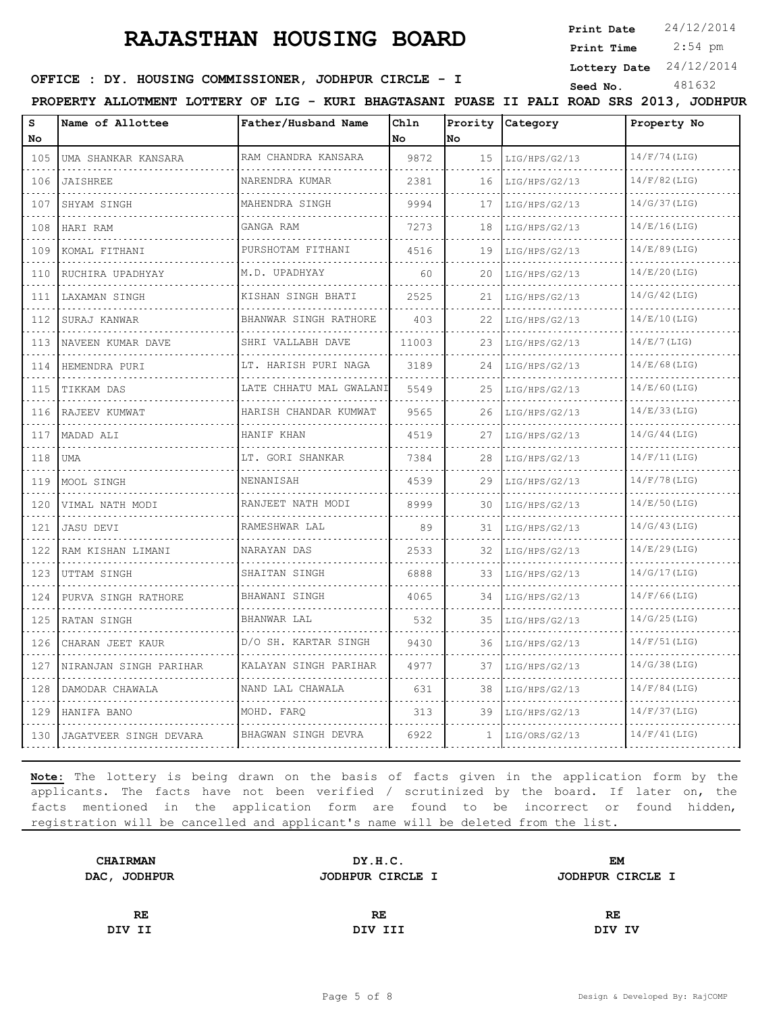**Print Date**  $24/12/2014$ 

 2:54 pm **Print Time**

**Lottery Date** 24/12/2014

**SEED : DY. HOUSING COMMISSIONER, JODHPUR CIRCLE - I** Seed No. 481632

**PROPERTY ALLOTMENT LOTTERY OF LIG - KURI BHAGTASANI PUASE II PALI ROAD SRS 2013, JODHPUR**

| s<br>No | Name of Allottee       | Father/Husband Name          | Chln<br>No | Prority<br>lNo. | Category           | Property No     |
|---------|------------------------|------------------------------|------------|-----------------|--------------------|-----------------|
| 105     | UMA SHANKAR KANSARA    | RAM CHANDRA KANSARA<br>.     | 9872       | 15              | LIG/HPS/G2/13<br>. | $14/F/74$ (LIG) |
| 106     | <b>JAISHREE</b>        | NARENDRA KUMAR               | 2381       | 16              | LIG/HPS/G2/13      | $14/F/82$ (LIG) |
| 107     | SHYAM SINGH            | .<br>MAHENDRA SINGH          | 9994       | 17              | .<br>LIG/HPS/G2/13 | 14/G/37(LIG)    |
| 108     | HARI RAM               | GANGA RAM                    | 7273       | 18              | LIG/HPS/G2/13      | 14/E/16(LIG)    |
| 109     | KOMAL FITHANI          | .<br>PURSHOTAM FITHANI       | 4516       | 19              | .<br>LIG/HPS/G2/13 | 14/E/89(LIG)    |
| 110     | RUCHIRA UPADHYAY       | .<br>M.D. UPADHYAY           | 60         | 20              | LIG/HPS/G2/13      | 14/E/20(LIG)    |
| 111     | LAXAMAN SINGH          | KISHAN SINGH BHATI           | 2525       | 21              | LIG/HPS/G2/13      | $14/G/42$ (LIG) |
| 112     | SURAJ KANWAR           | .<br>BHANWAR SINGH RATHORE   | 403        | 22              | LIG/HPS/G2/13      | 14/E/10(LIG)    |
| 113     | NAVEEN KUMAR DAVE      | .<br>SHRI VALLABH DAVE       | 11003      | 23              | LIG/HPS/G2/13      | 14/E/7(LIG)     |
| 114     | HEMENDRA PURI          | LT. HARISH PURI NAGA         | 3189       | 24              | LIG/HPS/G2/13      | 14/E/68(LIG)    |
| 115     | TIKKAM DAS             | .<br>LATE CHHATU MAL GWALANI | 5549       | 25              | LIG/HPS/G2/13      | 14/E/60(LIG)    |
| 116     | RAJEEV KUMWAT          | HARISH CHANDAR KUMWAT        | 9565       | 26              | LIG/HPS/G2/13      | 14/E/33(LIG)    |
| 117     | MADAD ALI              | HANIF KHAN                   | 4519       | 27              | LIG/HPS/G2/13      | 14/G/44(LIG)    |
| 118     | UMA                    | LT. GORI SHANKAR             | 7384       | 28              | LIG/HPS/G2/13      | $14/F/11$ (LIG) |
| 119     | MOOL SINGH             | NENANISAH                    | 4539       | 29              | LIG/HPS/G2/13      | 14/F/78(LIG)    |
| 120     | VIMAL NATH MODI        | RANJEET NATH MODI            | 8999       | 30              | LIG/HPS/G2/13      | 14/E/50(LIG)    |
| 121     | <b>JASU DEVI</b>       | .<br>RAMESHWAR LAL           | 89         | 31              | LIG/HPS/G2/13      | 14/G/43(LIG)    |
| 122     | RAM KISHAN LIMANI      | NARAYAN DAS                  | 2533       | 32              | LIG/HPS/G2/13      | 14/E/29(LIG)    |
| 123     | UTTAM SINGH            | SHAITAN SINGH                | 6888       | 33              | LIG/HPS/G2/13      | 14/G/17(LIG)    |
| 124     | PURVA SINGH RATHORE    | BHAWANI SINGH                | 4065       | 34              | LIG/HPS/G2/13      | $14/F/66$ (LIG) |
| 125     | RATAN SINGH            | BHANWAR LAL                  | 532        | 35              | LIG/HPS/G2/13      | 14/G/25(LIG)    |
| 126     | CHARAN JEET KAUR       | D/O SH. KARTAR SINGH         | 9430       | 36              | LIG/HPS/G2/13      | $14/F/51$ (LIG) |
| 127     | NIRANJAN SINGH PARIHAR | KALAYAN SINGH PARIHAR        | 4977       | 37              | LIG/HPS/G2/13      | 14/G/38(LIG)    |
| 128     | DAMODAR CHAWALA        | NAND LAL CHAWALA             | 631        | 38              | LIG/HPS/G2/13      | $14/F/84$ (LIG) |
| 129     | HANIFA BANO            | MOHD. FARO                   | 313        | 39              | LIG/HPS/G2/13      | $14/F/37$ (LIG) |
| 130     | JAGATVEER SINGH DEVARA | BHAGWAN SINGH DEVRA          | 6922       | 1               | LIG/ORS/G2/13      | 14/F/41(LIG)    |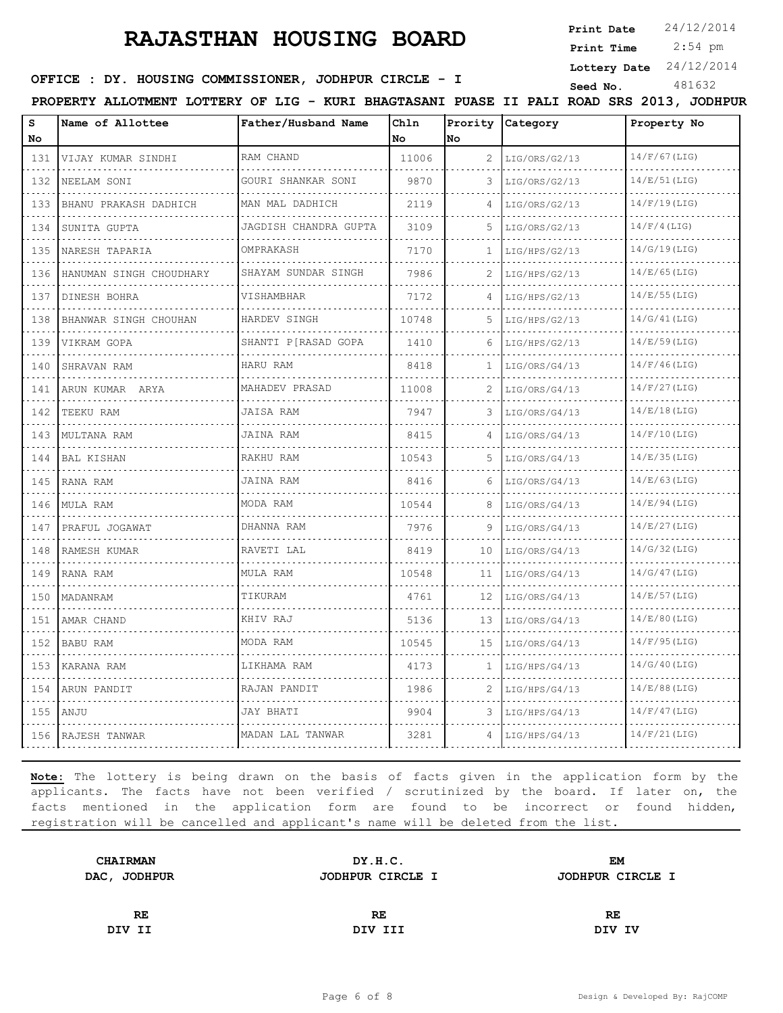**Print Date**  $24/12/2014$ 

 2:54 pm **Print Time**

**Lottery Date** 24/12/2014

**SEED : DY. HOUSING COMMISSIONER, JODHPUR CIRCLE - I** Seed No. 481632

**PROPERTY ALLOTMENT LOTTERY OF LIG - KURI BHAGTASANI PUASE II PALI ROAD SRS 2013, JODHPUR**

| s<br>No  | Name of Allottee           | Father/Husband Name      | Chln<br>No | Prority<br>No | Category           | Property No     |
|----------|----------------------------|--------------------------|------------|---------------|--------------------|-----------------|
| 131      | VIJAY KUMAR SINDHI         | RAM CHAND                | 11006      | 2             | LIG/ORS/G2/13      | $14/F/67$ (LIG) |
| 132      | NEELAM SONI                | GOURI SHANKAR SONI       | 9870       | 3             | LIG/ORS/G2/13      | 14/E/51(LIG)    |
| 133      | BHANU PRAKASH DADHICH      | MAN MAL DADHICH          | 2119       | 4             | LIG/ORS/G2/13      | $14/F/19$ (LIG) |
| 134      | SUNITA GUPTA               | JAGDISH CHANDRA GUPTA    | 3109       | 5             | LIG/ORS/G2/13      | $14/F/4$ (LIG)  |
| .<br>135 | .<br>NARESH TAPARIA        | OMPRAKASH                | 7170       | 1.            | .<br>LIG/HPS/G2/13 | $14/G/19$ (LIG) |
| 136      | HANUMAN SINGH CHOUDHARY    | SHAYAM SUNDAR SINGH      | 7986       | 2             | LIG/HPS/G2/13      | 14/E/65(LIG)    |
| 137      | DINESH BOHRA               | VISHAMBHAR               | 7172       |               | LIG/HPS/G2/13      | $14/E/55$ (LIG) |
| 138      | .<br>BHANWAR SINGH CHOUHAN | .<br>HARDEV SINGH        | 10748      | 5             | .<br>LIG/HPS/G2/13 | 14/G/41(LIG)    |
| 139      | VIKRAM GOPA                | .<br>SHANTI P[RASAD GOPA | 1410       | 6             | LIG/HPS/G2/13      | 14/E/59(LIG)    |
| 140      | SHRAVAN RAM                | HARU RAM                 | 8418       | 1.            | LIG/ORS/G4/13      | 14/F/46(LIG)    |
| .<br>141 | .<br>ARUN KUMAR ARYA       | MAHADEV PRASAD           | 11008      | 2             | LIG/ORS/G4/13      | $14/F/27$ (LIG) |
| 142      | TEEKU RAM                  | JAISA RAM                | 7947       | 3             | LIG/ORS/G4/13      | 14/E/18(LIG)    |
| 143      | MULTANA RAM                | JAINA RAM                | 8415       |               | LIG/ORS/G4/13      | $14/F/10$ (LIG) |
| .<br>144 | <b>BAL KISHAN</b>          | .<br>RAKHU RAM           | 10543      | 5             | .<br>LIG/ORS/G4/13 | 14/E/35(LIG)    |
| 145      | RANA RAM                   | JAINA RAM                | 8416       | 6             | LIG/ORS/G4/13      | 14/E/63(LIG)    |
| 146      | MULA RAM                   | MODA RAM                 | 10544      | 8             | LIG/ORS/G4/13      | 14/E/94(LIG)    |
| .<br>147 | PRAFUL JOGAWAT             | DHANNA RAM               | 7976       | 9             | LIG/ORS/G4/13      | 14/E/27(LIG)    |
| .<br>148 | RAMESH KUMAR               | RAVETI LAL               | 8419       | 10            | LIG/ORS/G4/13      | 14/G/32(LIG)    |
| 149      | RANA RAM                   | MULA RAM                 | 10548      | 11            | LIG/ORS/G4/13      | 14/G/47(LIG)    |
| .<br>150 | MADANRAM                   | TIKURAM                  | 4761       | 12            | LIG/ORS/G4/13      | 14/E/57(LIG)    |
| 151      | AMAR CHAND                 | KHIV RAJ                 | 5136       | 13            | LIG/ORS/G4/13      | 14/E/80(LIG)    |
| 152      | BABU RAM                   | MODA RAM                 | 10545      | 15            | LIG/ORS/G4/13      | $14/F/95$ (LIG) |
| .<br>153 | KARANA RAM                 | LIKHAMA RAM              | 4173       | 1             | LIG/HPS/G4/13      | $14/G/40$ (LIG) |
| .<br>154 | ARUN PANDIT                | RAJAN PANDIT             | 1986       | 2             | LIG/HPS/G4/13      | 14/E/88(LIG)    |
| 155      | ANJU                       | <b>JAY BHATI</b>         | 9904       | 3             | LIG/HPS/G4/13      | $14/F/47$ (LIG) |
| 156      | RAJESH TANWAR              | MADAN LAL TANWAR         | 3281       | 4             | LIG/HPS/G4/13      | 14/F/21(LIG)    |

| DY.H.C.          | EМ               |
|------------------|------------------|
| JODHPUR CIRCLE I | JODHPUR CIRCLE I |
|                  |                  |
| RE               | RE               |
| DIV III          | DIV IV           |
|                  |                  |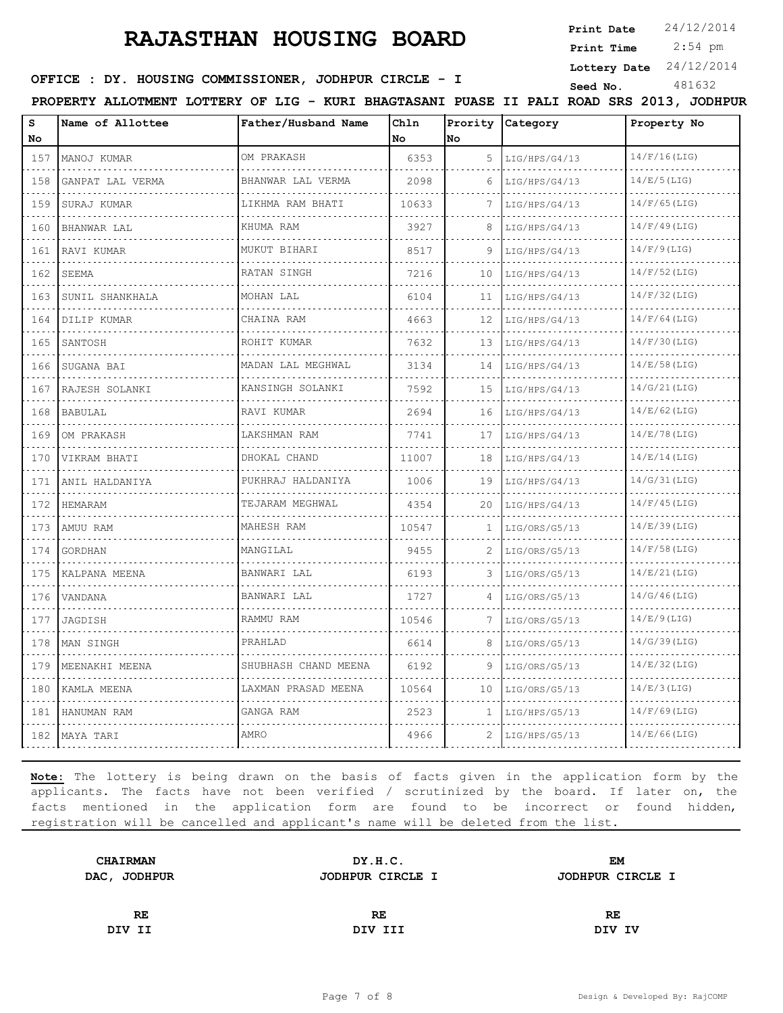**Print Date**  $24/12/2014$ 

 2:54 pm **Print Time**

**Lottery Date** 24/12/2014

**SEED : DY. HOUSING COMMISSIONER, JODHPUR CIRCLE - I** Seed No. 481632

**PROPERTY ALLOTMENT LOTTERY OF LIG - KURI BHAGTASANI PUASE II PALI ROAD SRS 2013, JODHPUR**

| S<br>No  | Name of Allottee                     | Father/Husband Name       | Chln<br>No | No | Prority Category | Property No     |
|----------|--------------------------------------|---------------------------|------------|----|------------------|-----------------|
| 157      | MANOJ KUMAR<br>.                     | OM PRAKASH<br>.           | 6353       | 5  | LIG/HPS/G4/13    | $14/F/16$ (LIG) |
| .<br>158 | GANPAT LAL VERMA                     | BHANWAR LAL VERMA         | 2098       | 6  | LIG/HPS/G4/13    | 14/E/5(LIG)     |
| 159      | SURAJ KUMAR                          | LIKHMA RAM BHATI          | 10633      | 7  | LIG/HPS/G4/13    | $14/F/65$ (LIG) |
| 160      | BHANWAR LAL                          | KHUMA RAM                 | 3927       | 8  | LIG/HPS/G4/13    | $14/F/49$ (LIG) |
| .<br>161 | RAVI KUMAR                           | .<br>MUKUT BIHARI         | 8517       | 9  | LIG/HPS/G4/13    | $14/F/9$ (LIG)  |
| 162      | SEEMA                                | RATAN SINGH               | 7216       | 10 | LIG/HPS/G4/13    | $14/F/52$ (LIG) |
| 163      | SUNIL SHANKHALA                      | MOHAN LAL                 | 6104       | 11 | LIG/HPS/G4/13    | $14/F/32$ (LIG) |
| 164      | DILIP KUMAR                          | CHAINA RAM                | 4663       | 12 | LIG/HPS/G4/13    | $14/F/64$ (LIG) |
| 165      | SANTOSH                              | ROHIT KUMAR               | 7632       | 13 | LIG/HPS/G4/13    | 14/F/30(LIG)    |
| 166      | SUGANA BAI                           | MADAN LAL MEGHWAL<br>.    | 3134       | 14 | LIG/HPS/G4/13    | 14/E/58(LIG)    |
| 167      | in die beste die b<br>RAJESH SOLANKI | KANSINGH SOLANKI          | 7592       | 15 | LIG/HPS/G4/13    | 14/G/21(LIG)    |
| 168      | <b>BABULAL</b>                       | RAVI KUMAR                | 2694       | 16 | LIG/HPS/G4/13    | $14/E/62$ (LIG) |
| 169      | OM PRAKASH                           | LAKSHMAN RAM<br>.         | 7741       | 17 | LIG/HPS/G4/13    | 14/E/78(LIG)    |
| 170      | VIKRAM BHATI                         | DHOKAL CHAND              | 11007      | 18 | LIG/HPS/G4/13    | 14/E/14(LIG)    |
| 171      | ANIL HALDANIYA                       | PUKHRAJ HALDANIYA         | 1006       | 19 | LIG/HPS/G4/13    | 14/G/31(LIG)    |
| 172      | HEMARAM                              | TEJARAM MEGHWAL           | 4354       | 20 | LIG/HPS/G4/13    | $14/F/45$ (LIG) |
| .<br>173 | AMUU RAM                             | MAHESH RAM                | 10547      | 1  | LIG/ORS/G5/13    | 14/E/39(LIG)    |
| .<br>174 | GORDHAN                              | MANGILAL                  | 9455       |    | LIG/ORS/G5/13    | $14/F/58$ (LIG) |
| 175      | KALPANA MEENA                        | BANWARI LAL               | 6193       | 3  | LIG/ORS/G5/13    | 14/E/21(LIG)    |
| .<br>176 | VANDANA                              | BANWARI LAL               | 1727       | 4  | LIG/ORS/G5/13    | 14/G/46(LIG)    |
| 177      | JAGDISH                              | RAMMU RAM                 | 10546      |    | LIG/ORS/G5/13    | 14/E/9(LIG)     |
| 178      | MAN SINGH                            | PRAHLAD                   | 6614       | 8  | LIG/ORS/G5/13    | 14/G/39(LIG)    |
| .<br>179 | MEENAKHI MEENA                       | SHUBHASH CHAND MEENA<br>. | 6192       | 9  | LIG/ORS/G5/13    | 14/E/32(LIG)    |
| .<br>180 | KAMLA MEENA                          | LAXMAN PRASAD MEENA       | 10564      | 10 | LIG/ORS/G5/13    | 14/E/3(LIG)     |
| 181      | HANUMAN RAM                          | GANGA RAM                 | 2523       | 1  | LIG/HPS/G5/13    | $14/F/69$ (LIG) |
| .<br>182 | MAYA TARI                            | AMRO                      | 4966       | 2  | LIG/HPS/G5/13    | 14/E/66(LIG)    |

| <b>CHAIRMAN</b> | DY.H.C.          | EМ               |  |
|-----------------|------------------|------------------|--|
| DAC, JODHPUR    | JODHPUR CIRCLE I | JODHPUR CIRCLE I |  |
|                 |                  |                  |  |
| RE              | RE               | RE               |  |
| DIV II          | DIV III          | DIV IV           |  |